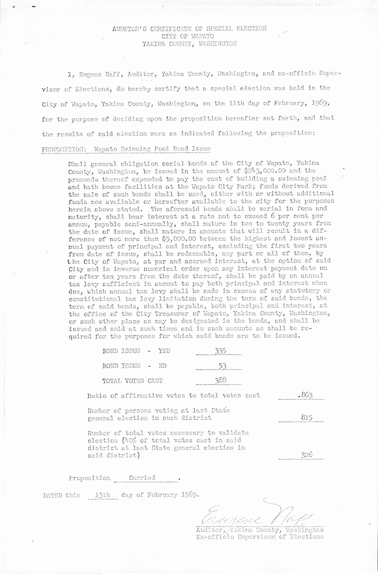## AUDITOR'S CERTIFICATE OF SPECIAL ELECTION CITY OF WAPATO YAKIMA COUNTY, WASHINGTON

I, Eugene Naff, Auditor, Yakima County, Washington, and ex-officio Supervisor of Elections, do hereby certify that a special election was held in the City of Wapato, Yakima County, Washington, on the 11th day of February, 1969, for the purpose of deciding upon the proposition hereafter set forth, and that the results of said election were as indicated following the proposition:

## PROPOSITION: Wapato Swimming Pool Bond Issue

Shall general obligation serial bonds of the City of Wapato, Yakima County, Washington, be issued in the amount of \$243,000.00 and the proceeds thereof expended to pay the cost of building a swimming pool and bath house facilities at the Wapato City Park; funds derived from the sale of such bonds shall be used, either with or without additional funds now available or hereafter available to the city for the purposes herein above stated. The aforesaid bonds shall be serial in form and maturity, shall bear interest at a rate not to exceed 6 per cent per annum, payable semi-annually, shall mature in two to twenty years from the date of issue, shall mature in amounts that will result in a difference of not more than \$5,000.00 between the highest and lowest annual payment of principal and interest, excluding the first two years from date of issue, shall be redeemable, any part or all of them, by the City of Wapato, at par and accrued interest, at the option of said City and in inverse numerical order upon any interest payment date on or after ten years from the date thereof, shall be paid by an annual tax levy sufficient in amount to pay both principal and interest when due, which annual tax levy shall be made in excess of any statutory or constitutional tax levy limitation during the term of said bonds, the term of said bonds, shall be payable, both principal and interest, at the office of the City Treasurer of Wapato, Yakima County, Washington, or such other place as may be designated in the bonds, and shall be issued and sold at such times and in such amounts as shall be required for the purposes for which said bonds are to be issued.

| BOND ISSUE -     |  | YES.      | 335<br><b>SURE AND CONTROLLED FOR THE STATE OF A TABLE 2</b> |
|------------------|--|-----------|--------------------------------------------------------------|
| BOND ISSUE -     |  | <b>NO</b> |                                                              |
| TOTAL VOTES CAST |  |           | 388                                                          |

Ratio of affirmative votes to total votes cast .863

Number of persons voting at last State  $general$  election in such district  $815$ 

Number of total votes necessary to validate election ( $40\%$  of total votes cast in said district at last State general election in said district)

326

Proposition Carried

DATED this 13th day of February 1969.

r--- Eugene Nagy Ls-Auditor, Yakima County, Washington

Ex-officio Supervisor of Elections